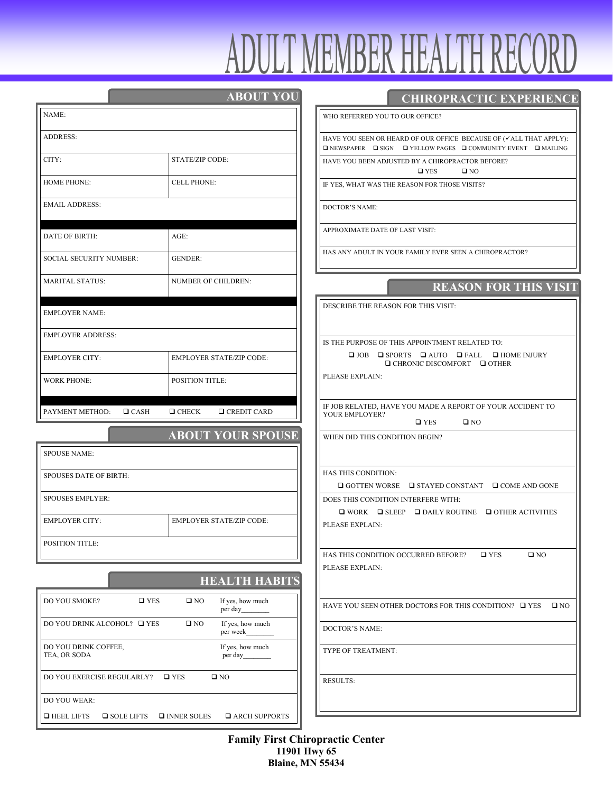|                                                | <b>ABOUT YOU</b>                             |
|------------------------------------------------|----------------------------------------------|
| NAME:                                          |                                              |
| <b>ADDRESS:</b>                                |                                              |
| CITY:                                          | STATE/ZIP CODE:                              |
| <b>HOME PHONE:</b>                             | <b>CELL PHONE:</b>                           |
| <b>EMAIL ADDRESS:</b>                          |                                              |
|                                                |                                              |
| <b>DATE OF BIRTH:</b>                          | $AGE$ :                                      |
| <b>SOCIAL SECURITY NUMBER:</b>                 | <b>GENDER:</b>                               |
| <b>MARITAL STATUS:</b>                         | <b>NUMBER OF CHILDREN:</b>                   |
| <b>EMPLOYER NAME:</b>                          |                                              |
| <b>EMPLOYER ADDRESS:</b>                       |                                              |
| <b>EMPLOYER CITY:</b>                          | <b>EMPLOYER STATE/ZIP CODE:</b>              |
| <b>WORK PHONE:</b>                             | <b>POSITION TITLE:</b>                       |
| PAYMENT METHOD:<br>$\Box$ CASH                 | $\Box$ CHECK<br>$\Box$ CREDIT CARD           |
|                                                | <b>ABOUT YOUR SPOUSE</b>                     |
| <b>SPOUSE NAME:</b>                            |                                              |
| <b>SPOUSES DATE OF BIRTH:</b>                  |                                              |
| <b>SPOUSES EMPLYER:</b>                        |                                              |
| <b>EMPLOYER CITY:</b>                          | <b>EMPLOYER STATE/ZIP CODE:</b>              |
| POSITION TITLE:                                |                                              |
|                                                | <b>HEALTH HABITS</b>                         |
| DO YOU SMOKE?<br>$\square$ YES                 | $\square$ NO<br>If yes, how much<br>per day  |
| DO YOU DRINK ALCOHOL? $\quad \blacksquare$ YES | If yes, how much<br>$\square$ NO<br>per week |
| DO YOU DRINK COFFEE,<br>TEA, OR SODA           | If yes, how much<br>per day                  |

DO YOU EXERCISE REGULARLY?  $\Box$  YES  $\Box$  NO

 $\Box$ HEEL LIFTS  $\Box$  SOLE LIFTS  $\Box$  INNER SOLES  $\Box$  ARCH SUPPORTS

DO YOU WEAR:

# **CHIROPRACTIC EXPERIENCE**

WHO REFERRED YOU TO OUR OFFICE?

HAVE YOU SEEN OR HEARD OF OUR OFFICE BECAUSE OF  $(\checkmark$ ALL THAT APPLY):  $\square$  <br> NEWSPAPER  $\square$  <br> SIGN  $\square$  <br> YELLOW PAGES  $\square$  <br> COMMUNITY EVENT  $\square$  <br> MAILING

HAVE YOU BEEN ADJUSTED BY A CHIROPRACTOR BEFORE? YES NO

IF YES, WHAT WAS THE REASON FOR THOSE VISITS?

DOCTOR'S NAME:

APPROXIMATE DATE OF LAST VISIT:

HAS ANY ADULT IN YOUR FAMILY EVER SEEN A CHIROPRACTOR?

### **REASON FOR THIS VISIT**

DESCRIBE THE REASON FOR THIS VISIT:

IS THE PURPOSE OF THIS APPOINTMENT RELATED TO: JOB SPORTS AUTO FALL HOME INJURY **□** CHRONIC DISCOMFORT □ OTHER

PLEASE EXPLAIN:

IF JOB RELATED, HAVE YOU MADE A REPORT OF YOUR ACCIDENT TO YOUR EMPLOYER?

 $\Box$  YES  $\Box$  NO

WHEN DID THIS CONDITION BEGIN?

HAS THIS CONDITION:

 $\Box$  GOTTEN WORSE  $\quad \Box$  STAYED CONSTANT  $\quad \Box$  COME AND GONE

DOES THIS CONDITION INTERFERE WITH:

 $\square$  <br> WORK  $\square$  <br> SLEEP  $\square$  <br> DAILY ROUTINE  $\square$  <br> OTHER ACTIVITIES PLEASE EXPLAIN:

HAS THIS CONDITION OCCURRED BEFORE?  $\Box$  YES  $\Box$  NO PLEASE EXPLAIN:

HAVE YOU SEEN OTHER DOCTORS FOR THIS CONDITION?  $\Box$  YES  $\Box$  NO

DOCTOR'S NAME:

TYPE OF TREATMENT:

RESULTS:

**Family First Chiropractic Center 11901 Hwy 65 Blaine, MN 55434**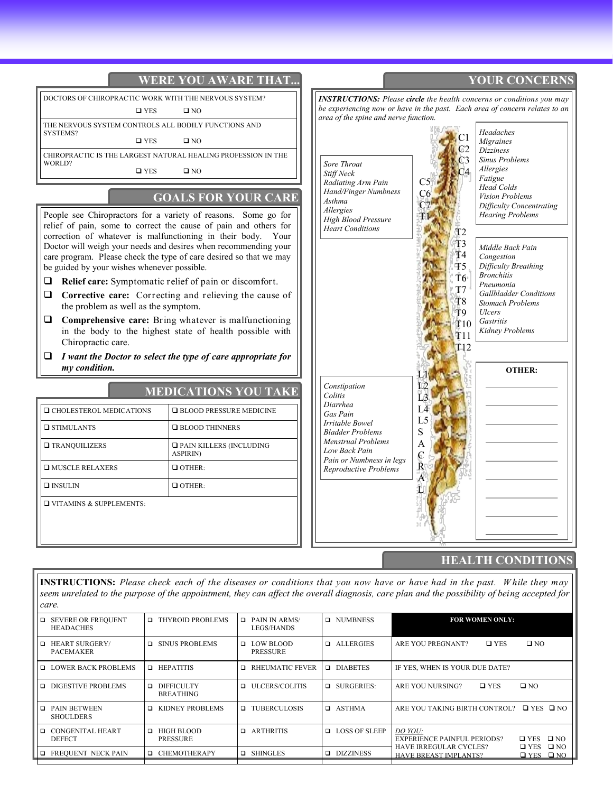

**INSTRUCTIONS:** *Please check each of the diseases or conditions that you now have or have had in the past. W hile they may seem unrelated to the purpose of the appointment, they can affect the overall diagnosis, care plan and the possibility of being accepted for care.*

|        | □ SEVERE OR FREQUENT<br><b>HEADACHES</b>  | THYROID PROBLEMS<br>$\Box$                      | $\Box$ PAIN IN ARMS/<br>LEGS/HANDS    | <b>Q</b> NUMBNESS      | <b>FOR WOMEN ONLY:</b>                                                                                                       |
|--------|-------------------------------------------|-------------------------------------------------|---------------------------------------|------------------------|------------------------------------------------------------------------------------------------------------------------------|
|        | <b>HEART SURGERY/</b><br><b>PACEMAKER</b> | SINUS PROBLEMS<br>$\Box$                        | <b>D</b> LOW BLOOD<br><b>PRESSURE</b> | $\Box$ ALLERGIES       | $\square$ NO<br>ARE YOU PREGNANT?<br>$\square$ YES                                                                           |
|        | LOWER BACK PROBLEMS                       | <b>O</b> HEPATITIS                              | <b>RHEUMATIC FEVER</b><br>▫           | □ DIABETES             | IF YES, WHEN IS YOUR DUE DATE?                                                                                               |
|        | <b>DIGESTIVE PROBLEMS</b>                 | <b>DIFFICULTY</b><br>$\Box$<br><b>BREATHING</b> | <b>Q</b> ULCERS/COLITIS               | $\Box$ SURGERIES:      | $\square$ YES<br>$\square$ NO<br>ARE YOU NURSING?                                                                            |
|        | <b>D</b> PAIN BETWEEN<br><b>SHOULDERS</b> | KIDNEY PROBLEMS<br>$\Box$                       | □ TUBERCULOSIS                        | □ ASTHMA               | ARE YOU TAKING BIRTH CONTROL?<br>$\Box$ YES $\Box$ NO                                                                        |
| $\Box$ | CONGENITAL HEART<br><b>DEFECT</b>         | HIGH BLOOD<br>$\Box$<br><b>PRESSURE</b>         | <b>D</b> ARTHRITIS                    | <b>D</b> LOSS OF SLEEP | DO YOU:<br>$\square$ YES<br>$\Box$ NO<br><b>EXPERIENCE PAINFUL PERIODS?</b>                                                  |
|        | <b>EXECUENT NECK PAIN</b>                 | $\Box$ CHEMOTHERAPY                             | <b>Q</b> SHINGLES                     | <b>DIZZINESS</b>       | $\square$ YES<br>$\square$ NO<br><b>HAVE IRREGULAR CYCLES?</b><br>$\Box$ NO<br><b>HAVE BREAST IMPLANTS?</b><br>$\square$ YES |
|        |                                           |                                                 |                                       |                        |                                                                                                                              |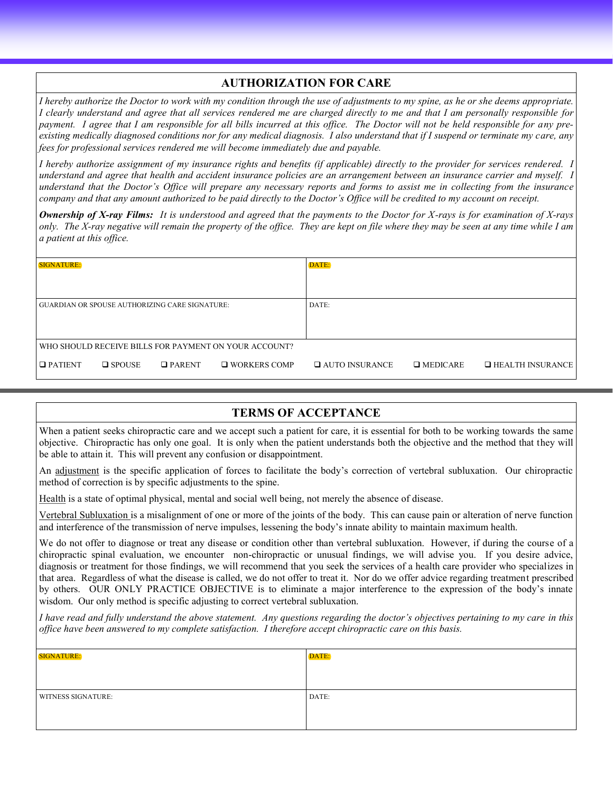## **AUTHORIZATION FOR CARE**

*I hereby authorize the Doctor to work with my condition through the use of adjustments to my spine, as he or she deems appropriate. I clearly understand and agree that all services rendered me are charged directly to me and that I am personally responsible for payment. I agree that I am responsible for all bills incurred at this office. The Doctor will not be held responsible for any preexisting medically diagnosed conditions nor for any medical diagnosis. I also understand that if I suspend or terminate my care, any fees for professional services rendered me will become immediately due and payable.* 

*I hereby authorize assignment of my insurance rights and benefits (if applicable) directly to the provider for services rendered. I understand and agree that health and accident insurance policies are an arrangement between an insurance carrier and myself. I understand that the Doctor's Office will prepare any necessary reports and forms to assist me in collecting from the insurance company and that any amount authorized to be paid directly to the Doctor's Office will be credited to my account on receipt.* 

*Ownership of X-ray Films: It is understood and agreed that the payments to the Doctor for X-rays is for examination of X-rays only. The X-ray negative will remain the property of the office. They are kept on file where they may be seen at any time while I am a patient at this office.*

| <b>SIGNATURE:</b>                                     |                  |               | DATE:               |                       |                 |                         |
|-------------------------------------------------------|------------------|---------------|---------------------|-----------------------|-----------------|-------------------------|
|                                                       |                  |               |                     |                       |                 |                         |
| <b>GUARDIAN OR SPOUSE AUTHORIZING CARE SIGNATURE:</b> |                  |               | DATE:               |                       |                 |                         |
|                                                       |                  |               |                     |                       |                 |                         |
| WHO SHOULD RECEIVE BILLS FOR PAYMENT ON YOUR ACCOUNT? |                  |               |                     |                       |                 |                         |
| $\Box$ PATIENT                                        | $\square$ SPOUSE | $\Box$ PARENT | $\Box$ WORKERS COMP | $\Box$ AUTO INSURANCE | $\Box$ MEDICARE | $\Box$ HEALTH INSURANCE |

#### **TERMS OF ACCEPTANCE**

When a patient seeks chiropractic care and we accept such a patient for care, it is essential for both to be working towards the same objective. Chiropractic has only one goal. It is only when the patient understands both the objective and the method that they will be able to attain it. This will prevent any confusion or disappointment.

An adjustment is the specific application of forces to facilitate the body's correction of vertebral subluxation. Our chiropractic method of correction is by specific adjustments to the spine.

Health is a state of optimal physical, mental and social well being, not merely the absence of disease.

Vertebral Subluxation is a misalignment of one or more of the joints of the body. This can cause pain or alteration of nerve function and interference of the transmission of nerve impulses, lessening the body's innate ability to maintain maximum health.

We do not offer to diagnose or treat any disease or condition other than vertebral subluxation. However, if during the course of a chiropractic spinal evaluation, we encounter non-chiropractic or unusual findings, we will advise you. If you desire advice, diagnosis or treatment for those findings, we will recommend that you seek the services of a health care provider who specializes in that area. Regardless of what the disease is called, we do not offer to treat it. Nor do we offer advice regarding treatment prescribed by others. OUR ONLY PRACTICE OBJECTIVE is to eliminate a major interference to the expression of the body's innate wisdom. Our only method is specific adjusting to correct vertebral subluxation.

*I have read and fully understand the above statement. Any questions regarding the doctor's objectives pertaining to my care in this office have been answered to my complete satisfaction. I therefore accept chiropractic care on this basis.*

| <b>SIGNATURE:</b>         | DATE: |
|---------------------------|-------|
|                           |       |
| <b>WITNESS SIGNATURE:</b> | DATE: |
|                           |       |